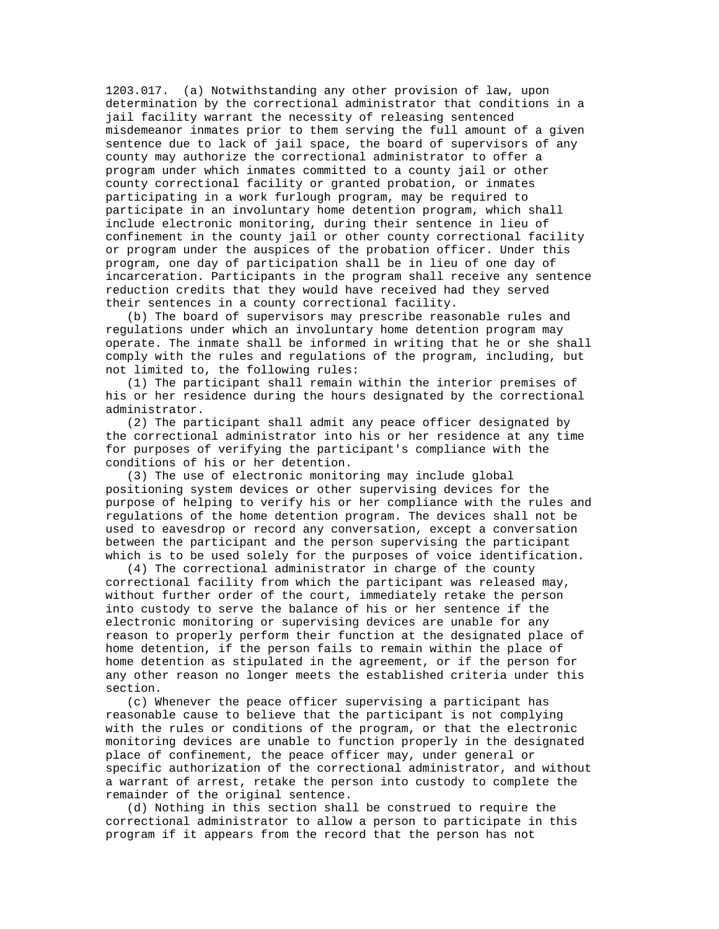1203.017. (a) Notwithstanding any other provision of law, upon determination by the correctional administrator that conditions in a jail facility warrant the necessity of releasing sentenced misdemeanor inmates prior to them serving the full amount of a given sentence due to lack of jail space, the board of supervisors of any county may authorize the correctional administrator to offer a program under which inmates committed to a county jail or other county correctional facility or granted probation, or inmates participating in a work furlough program, may be required to participate in an involuntary home detention program, which shall include electronic monitoring, during their sentence in lieu of confinement in the county jail or other county correctional facility or program under the auspices of the probation officer. Under this program, one day of participation shall be in lieu of one day of incarceration. Participants in the program shall receive any sentence reduction credits that they would have received had they served their sentences in a county correctional facility.

 (b) The board of supervisors may prescribe reasonable rules and regulations under which an involuntary home detention program may operate. The inmate shall be informed in writing that he or she shall comply with the rules and regulations of the program, including, but not limited to, the following rules:

 (1) The participant shall remain within the interior premises of his or her residence during the hours designated by the correctional administrator.

 (2) The participant shall admit any peace officer designated by the correctional administrator into his or her residence at any time for purposes of verifying the participant's compliance with the conditions of his or her detention.

 (3) The use of electronic monitoring may include global positioning system devices or other supervising devices for the purpose of helping to verify his or her compliance with the rules and regulations of the home detention program. The devices shall not be used to eavesdrop or record any conversation, except a conversation between the participant and the person supervising the participant which is to be used solely for the purposes of voice identification.

 (4) The correctional administrator in charge of the county correctional facility from which the participant was released may, without further order of the court, immediately retake the person into custody to serve the balance of his or her sentence if the electronic monitoring or supervising devices are unable for any reason to properly perform their function at the designated place of home detention, if the person fails to remain within the place of home detention as stipulated in the agreement, or if the person for any other reason no longer meets the established criteria under this section.

 (c) Whenever the peace officer supervising a participant has reasonable cause to believe that the participant is not complying with the rules or conditions of the program, or that the electronic monitoring devices are unable to function properly in the designated place of confinement, the peace officer may, under general or specific authorization of the correctional administrator, and without a warrant of arrest, retake the person into custody to complete the remainder of the original sentence.

 (d) Nothing in this section shall be construed to require the correctional administrator to allow a person to participate in this program if it appears from the record that the person has not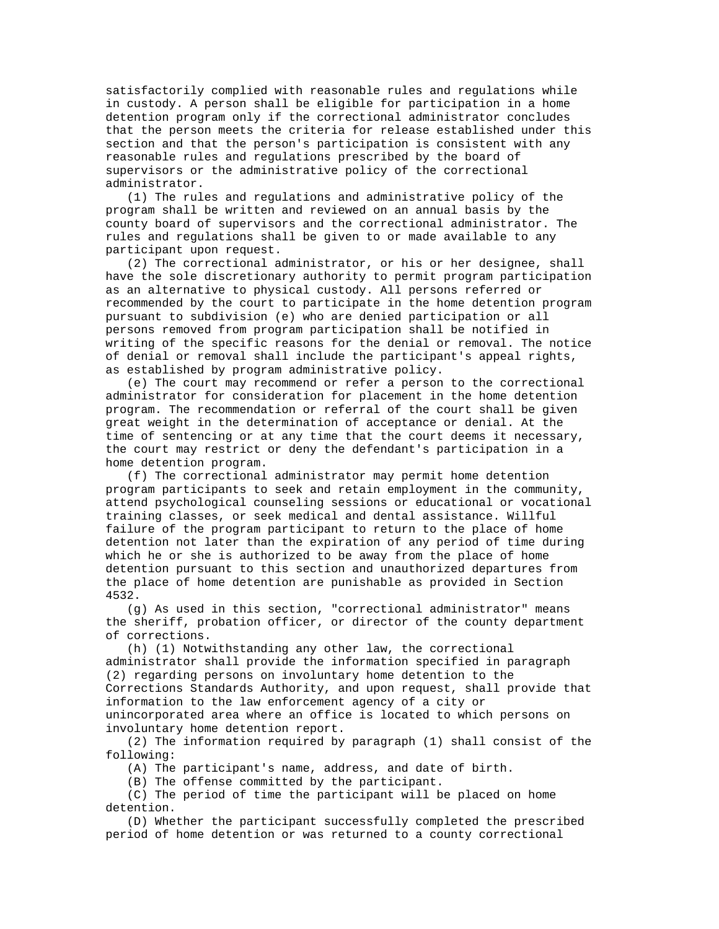satisfactorily complied with reasonable rules and regulations while in custody. A person shall be eligible for participation in a home detention program only if the correctional administrator concludes that the person meets the criteria for release established under this section and that the person's participation is consistent with any reasonable rules and regulations prescribed by the board of supervisors or the administrative policy of the correctional administrator.

 (1) The rules and regulations and administrative policy of the program shall be written and reviewed on an annual basis by the county board of supervisors and the correctional administrator. The rules and regulations shall be given to or made available to any participant upon request.

 (2) The correctional administrator, or his or her designee, shall have the sole discretionary authority to permit program participation as an alternative to physical custody. All persons referred or recommended by the court to participate in the home detention program pursuant to subdivision (e) who are denied participation or all persons removed from program participation shall be notified in writing of the specific reasons for the denial or removal. The notice of denial or removal shall include the participant's appeal rights, as established by program administrative policy.

 (e) The court may recommend or refer a person to the correctional administrator for consideration for placement in the home detention program. The recommendation or referral of the court shall be given great weight in the determination of acceptance or denial. At the time of sentencing or at any time that the court deems it necessary, the court may restrict or deny the defendant's participation in a home detention program.

 (f) The correctional administrator may permit home detention program participants to seek and retain employment in the community, attend psychological counseling sessions or educational or vocational training classes, or seek medical and dental assistance. Willful failure of the program participant to return to the place of home detention not later than the expiration of any period of time during which he or she is authorized to be away from the place of home detention pursuant to this section and unauthorized departures from the place of home detention are punishable as provided in Section 4532.

 (g) As used in this section, "correctional administrator" means the sheriff, probation officer, or director of the county department of corrections.

 (h) (1) Notwithstanding any other law, the correctional administrator shall provide the information specified in paragraph (2) regarding persons on involuntary home detention to the Corrections Standards Authority, and upon request, shall provide that information to the law enforcement agency of a city or unincorporated area where an office is located to which persons on involuntary home detention report.

 (2) The information required by paragraph (1) shall consist of the following:

(A) The participant's name, address, and date of birth.

(B) The offense committed by the participant.

 (C) The period of time the participant will be placed on home detention.

 (D) Whether the participant successfully completed the prescribed period of home detention or was returned to a county correctional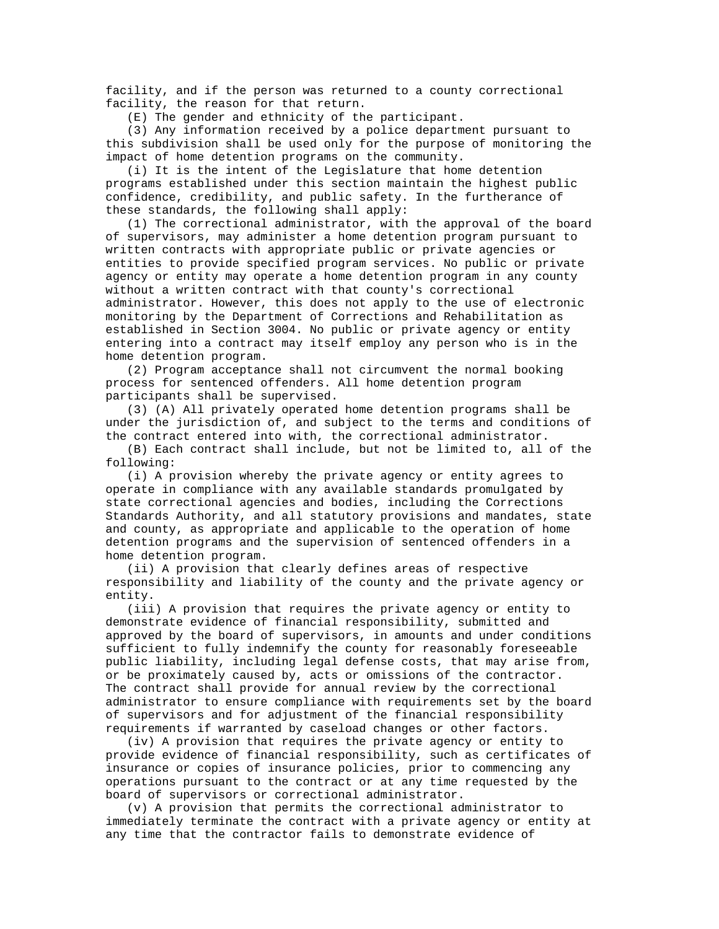facility, and if the person was returned to a county correctional facility, the reason for that return.

(E) The gender and ethnicity of the participant.

 (3) Any information received by a police department pursuant to this subdivision shall be used only for the purpose of monitoring the impact of home detention programs on the community.

 (i) It is the intent of the Legislature that home detention programs established under this section maintain the highest public confidence, credibility, and public safety. In the furtherance of these standards, the following shall apply:

 (1) The correctional administrator, with the approval of the board of supervisors, may administer a home detention program pursuant to written contracts with appropriate public or private agencies or entities to provide specified program services. No public or private agency or entity may operate a home detention program in any county without a written contract with that county's correctional administrator. However, this does not apply to the use of electronic monitoring by the Department of Corrections and Rehabilitation as established in Section 3004. No public or private agency or entity entering into a contract may itself employ any person who is in the home detention program.

 (2) Program acceptance shall not circumvent the normal booking process for sentenced offenders. All home detention program participants shall be supervised.

 (3) (A) All privately operated home detention programs shall be under the jurisdiction of, and subject to the terms and conditions of the contract entered into with, the correctional administrator.

 (B) Each contract shall include, but not be limited to, all of the following:

 (i) A provision whereby the private agency or entity agrees to operate in compliance with any available standards promulgated by state correctional agencies and bodies, including the Corrections Standards Authority, and all statutory provisions and mandates, state and county, as appropriate and applicable to the operation of home detention programs and the supervision of sentenced offenders in a home detention program.

 (ii) A provision that clearly defines areas of respective responsibility and liability of the county and the private agency or entity.

 (iii) A provision that requires the private agency or entity to demonstrate evidence of financial responsibility, submitted and approved by the board of supervisors, in amounts and under conditions sufficient to fully indemnify the county for reasonably foreseeable public liability, including legal defense costs, that may arise from, or be proximately caused by, acts or omissions of the contractor. The contract shall provide for annual review by the correctional administrator to ensure compliance with requirements set by the board of supervisors and for adjustment of the financial responsibility requirements if warranted by caseload changes or other factors.

 (iv) A provision that requires the private agency or entity to provide evidence of financial responsibility, such as certificates of insurance or copies of insurance policies, prior to commencing any operations pursuant to the contract or at any time requested by the board of supervisors or correctional administrator.

 (v) A provision that permits the correctional administrator to immediately terminate the contract with a private agency or entity at any time that the contractor fails to demonstrate evidence of